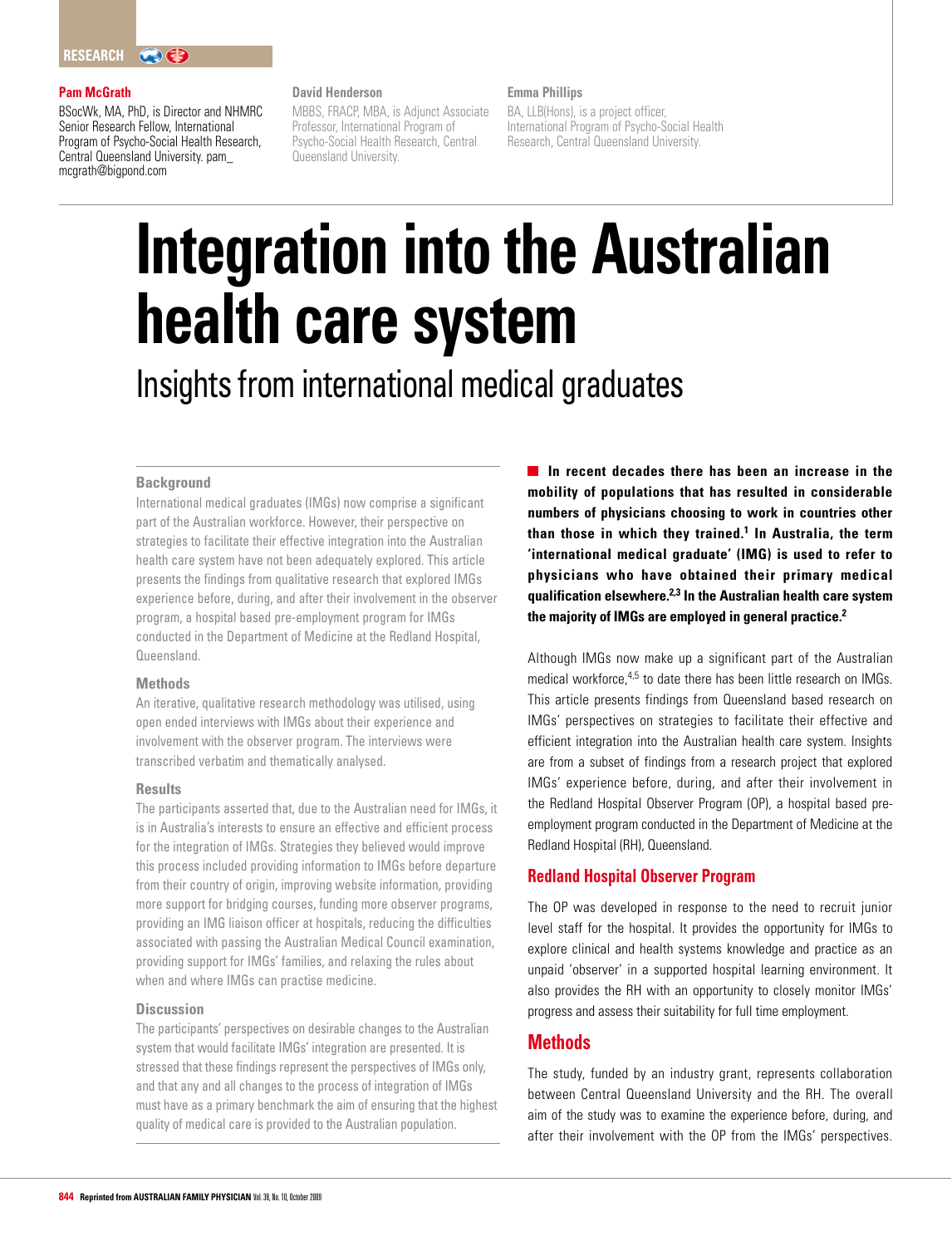## **Pam McGrath**

BSocWk, MA, PhD, is Director and NHMRC Senior Research Fellow, International Program of Psycho-Social Health Research, Central Queensland University. pam\_ mcgrath@bigpond.com

## **David Henderson**

MBBS, FRACP, MBA, is Adjunct Associate Professor, International Program of Psycho-Social Health Research, Central Queensland University.

#### **Emma Phillips**

BA, LLB(Hons), is a project officer, International Program of Psycho-Social Health Research, Central Queensland University.

# **Integration into the Australian health care system** Insights from international medical graduates

# **Background**

International medical graduates (IMGs) now comprise a significant part of the Australian workforce. However, their perspective on strategies to facilitate their effective integration into the Australian health care system have not been adequately explored. This article presents the findings from qualitative research that explored IMGs experience before, during, and after their involvement in the observer program, a hospital based pre-employment program for IMGs conducted in the Department of Medicine at the Redland Hospital, Queensland.

#### **Methods**

An iterative, qualitative research methodology was utilised, using open ended interviews with IMGs about their experience and involvement with the observer program. The interviews were transcribed verbatim and thematically analysed.

#### **Results**

The participants asserted that, due to the Australian need for IMGs, it is in Australia's interests to ensure an effective and efficient process for the integration of IMGs. Strategies they believed would improve this process included providing information to IMGs before departure from their country of origin, improving website information, providing more support for bridging courses, funding more observer programs, providing an IMG liaison officer at hospitals, reducing the difficulties associated with passing the Australian Medical Council examination, providing support for IMGs' families, and relaxing the rules about when and where IMGs can practise medicine.

## **Discussion**

The participants' perspectives on desirable changes to the Australian system that would facilitate IMGs' integration are presented. It is stressed that these findings represent the perspectives of IMGs only, and that any and all changes to the process of integration of IMGs must have as a primary benchmark the aim of ensuring that the highest quality of medical care is provided to the Australian population.

**In recent decades there has been an increase in the mobility of populations that has resulted in considerable numbers of physicians choosing to work in countries other than those in which they trained.1 In Australia, the term 'international medical graduate' (IMG) is used to refer to physicians who have obtained their primary medical qualification elsewhere.2,3 In the Australian health care system the majority of IMGs are employed in general practice.2**

Although IMGs now make up a significant part of the Australian medical workforce, 4,5 to date there has been little research on IMGs. This article presents findings from Queensland based research on IMGs' perspectives on strategies to facilitate their effective and efficient integration into the Australian health care system. Insights are from a subset of findings from a research project that explored IMGs' experience before, during, and after their involvement in the Redland Hospital Observer Program (OP), a hospital based preemployment program conducted in the Department of Medicine at the Redland Hospital (RH), Queensland.

# **Redland Hospital Observer Program**

The OP was developed in response to the need to recruit junior level staff for the hospital. It provides the opportunity for IMGs to explore clinical and health systems knowledge and practice as an unpaid 'observer' in a supported hospital learning environment. It also provides the RH with an opportunity to closely monitor IMGs' progress and assess their suitability for full time employment.

# **Methods**

The study, funded by an industry grant, represents collaboration between Central Queensland University and the RH. The overall aim of the study was to examine the experience before, during, and after their involvement with the OP from the IMGs' perspectives.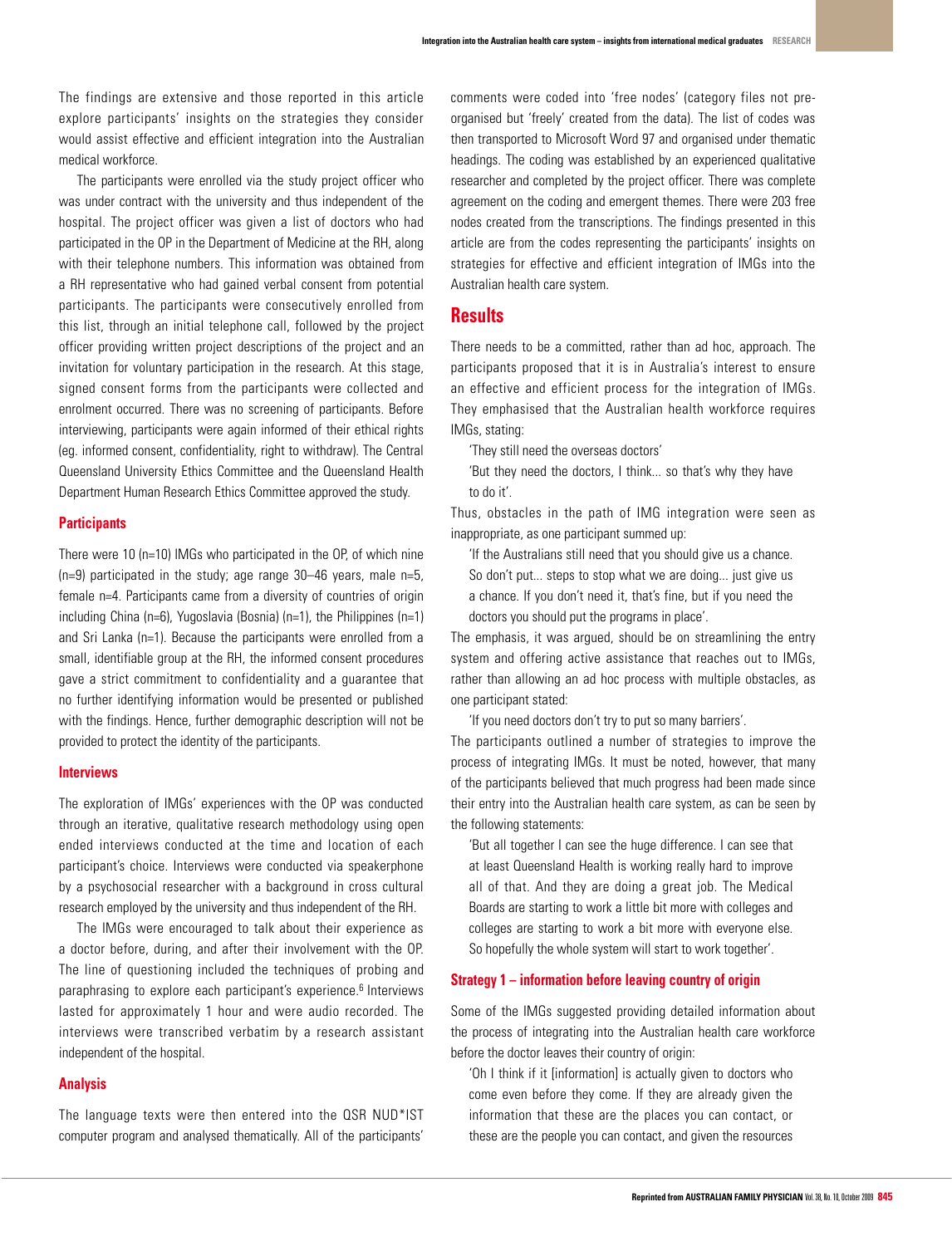The findings are extensive and those reported in this article explore participants' insights on the strategies they consider would assist effective and efficient integration into the Australian medical workforce.

The participants were enrolled via the study project officer who was under contract with the university and thus independent of the hospital. The project officer was given a list of doctors who had participated in the OP in the Department of Medicine at the RH, along with their telephone numbers. This information was obtained from a RH representative who had gained verbal consent from potential participants. The participants were consecutively enrolled from this list, through an initial telephone call, followed by the project officer providing written project descriptions of the project and an invitation for voluntary participation in the research. At this stage, signed consent forms from the participants were collected and enrolment occurred. There was no screening of participants. Before interviewing, participants were again informed of their ethical rights (eg. informed consent, confidentiality, right to withdraw). The Central Queensland University Ethics Committee and the Queensland Health Department Human Research Ethics Committee approved the study.

#### **Participants**

There were 10 (n=10) IMGs who participated in the OP, of which nine (n=9) participated in the study; age range 30–46 years, male n=5, female n=4. Participants came from a diversity of countries of origin including China (n=6), Yugoslavia (Bosnia) (n=1), the Philippines (n=1) and Sri Lanka (n=1). Because the participants were enrolled from a small, identifiable group at the RH, the informed consent procedures gave a strict commitment to confidentiality and a guarantee that no further identifying information would be presented or published with the findings. Hence, further demographic description will not be provided to protect the identity of the participants.

#### **Interviews**

The exploration of IMGs' experiences with the OP was conducted through an iterative, qualitative research methodology using open ended interviews conducted at the time and location of each participant's choice. Interviews were conducted via speakerphone by a psychosocial researcher with a background in cross cultural research employed by the university and thus independent of the RH.

The IMGs were encouraged to talk about their experience as a doctor before, during, and after their involvement with the OP. The line of questioning included the techniques of probing and paraphrasing to explore each participant's experience.<sup>6</sup> Interviews lasted for approximately 1 hour and were audio recorded. The interviews were transcribed verbatim by a research assistant independent of the hospital.

# **Analysis**

The language texts were then entered into the QSR NUD\*IST computer program and analysed thematically. All of the participants'

comments were coded into 'free nodes' (category files not preorganised but 'freely' created from the data). The list of codes was then transported to Microsoft Word 97 and organised under thematic headings. The coding was established by an experienced qualitative researcher and completed by the project officer. There was complete agreement on the coding and emergent themes. There were 203 free nodes created from the transcriptions. The findings presented in this article are from the codes representing the participants' insights on strategies for effective and efficient integration of IMGs into the Australian health care system.

# **Results**

There needs to be a committed, rather than ad hoc, approach. The participants proposed that it is in Australia's interest to ensure an effective and efficient process for the integration of IMGs. They emphasised that the Australian health workforce requires IMGs, stating:

'They still need the overseas doctors'

'But they need the doctors, I think... so that's why they have to do it'.

Thus, obstacles in the path of IMG integration were seen as inappropriate, as one participant summed up:

'If the Australians still need that you should give us a chance. So don't put... steps to stop what we are doing... just give us a chance. If you don't need it, that's fine, but if you need the doctors you should put the programs in place'.

The emphasis, it was argued, should be on streamlining the entry system and offering active assistance that reaches out to IMGs, rather than allowing an ad hoc process with multiple obstacles, as one participant stated:

'If you need doctors don't try to put so many barriers'.

The participants outlined a number of strategies to improve the process of integrating IMGs. It must be noted, however, that many of the participants believed that much progress had been made since their entry into the Australian health care system, as can be seen by the following statements:

'But all together I can see the huge difference. I can see that at least Queensland Health is working really hard to improve all of that. And they are doing a great job. The Medical Boards are starting to work a little bit more with colleges and colleges are starting to work a bit more with everyone else. So hopefully the whole system will start to work together'.

# **Strategy 1 – information before leaving country of origin**

Some of the IMGs suggested providing detailed information about the process of integrating into the Australian health care workforce before the doctor leaves their country of origin:

'Oh I think if it [information] is actually given to doctors who come even before they come. If they are already given the information that these are the places you can contact, or these are the people you can contact, and given the resources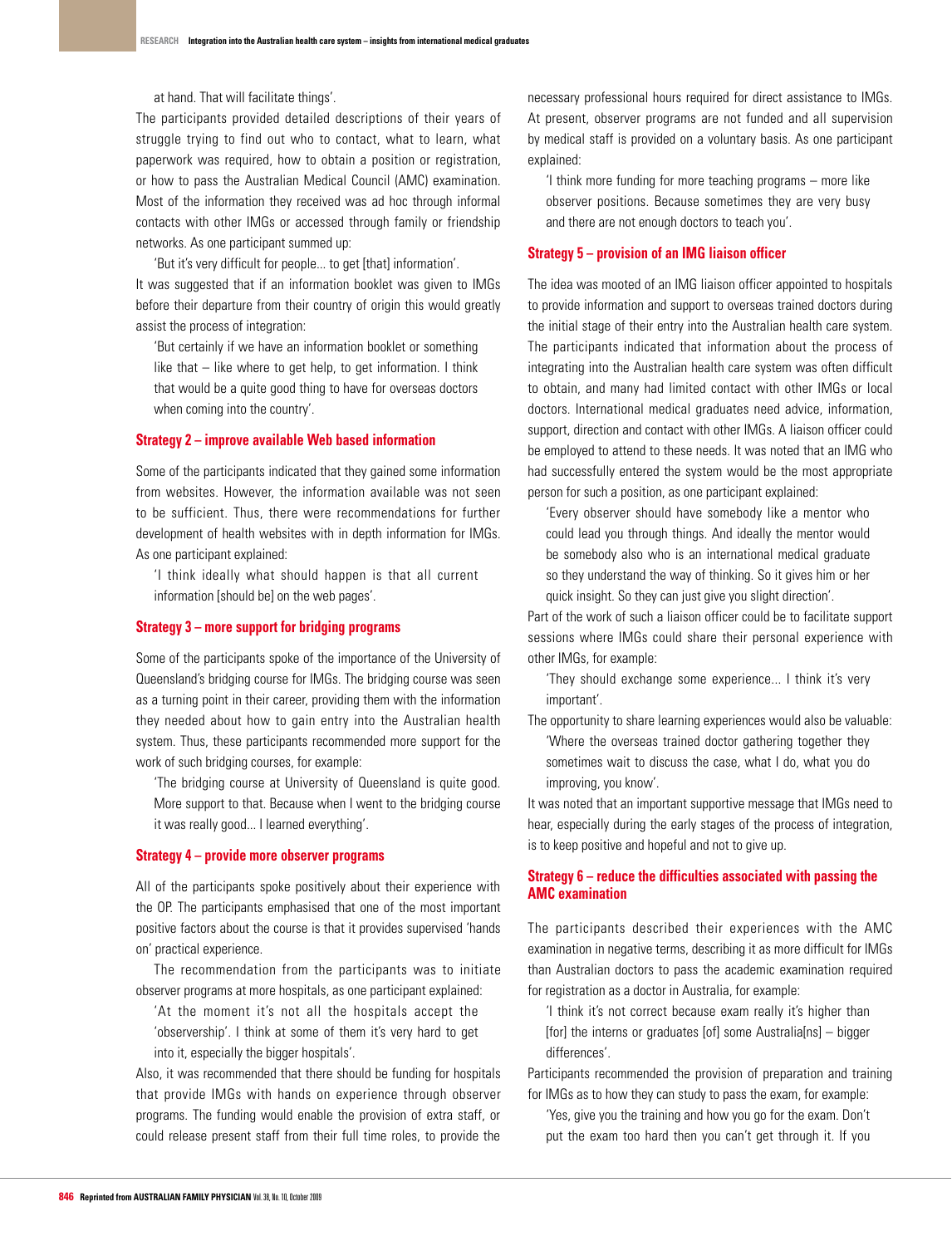at hand. That will facilitate things'.

The participants provided detailed descriptions of their years of struggle trying to find out who to contact, what to learn, what paperwork was required, how to obtain a position or registration, or how to pass the Australian Medical Council (AMC) examination. Most of the information they received was ad hoc through informal contacts with other IMGs or accessed through family or friendship networks. As one participant summed up:

'But it's very difficult for people... to get [that] information'. It was suggested that if an information booklet was given to IMGs before their departure from their country of origin this would greatly assist the process of integration:

'But certainly if we have an information booklet or something like that – like where to get help, to get information. I think that would be a quite good thing to have for overseas doctors when coming into the country'.

#### **Strategy 2 – improve available Web based information**

Some of the participants indicated that they gained some information from websites. However, the information available was not seen to be sufficient. Thus, there were recommendations for further development of health websites with in depth information for IMGs. As one participant explained:

'I think ideally what should happen is that all current information [should be] on the web pages'.

#### **Strategy 3 – more support for bridging programs**

Some of the participants spoke of the importance of the University of Queensland's bridging course for IMGs. The bridging course was seen as a turning point in their career, providing them with the information they needed about how to gain entry into the Australian health system. Thus, these participants recommended more support for the work of such bridging courses, for example:

 'The bridging course at University of Queensland is quite good. More support to that. Because when I went to the bridging course it was really good... I learned everything'.

# **Strategy 4 – provide more observer programs**

All of the participants spoke positively about their experience with the OP. The participants emphasised that one of the most important positive factors about the course is that it provides supervised 'hands on' practical experience.

The recommendation from the participants was to initiate observer programs at more hospitals, as one participant explained:

'At the moment it's not all the hospitals accept the 'observership'. I think at some of them it's very hard to get into it, especially the bigger hospitals'.

Also, it was recommended that there should be funding for hospitals that provide IMGs with hands on experience through observer programs. The funding would enable the provision of extra staff, or could release present staff from their full time roles, to provide the

necessary professional hours required for direct assistance to IMGs. At present, observer programs are not funded and all supervision by medical staff is provided on a voluntary basis. As one participant explained:

'I think more funding for more teaching programs – more like observer positions. Because sometimes they are very busy and there are not enough doctors to teach you'.

#### **Strategy 5 – provision of an IMG liaison officer**

The idea was mooted of an IMG liaison officer appointed to hospitals to provide information and support to overseas trained doctors during the initial stage of their entry into the Australian health care system. The participants indicated that information about the process of integrating into the Australian health care system was often difficult to obtain, and many had limited contact with other IMGs or local doctors. International medical graduates need advice, information, support, direction and contact with other IMGs. A liaison officer could be employed to attend to these needs. It was noted that an IMG who had successfully entered the system would be the most appropriate person for such a position, as one participant explained:

'Every observer should have somebody like a mentor who could lead you through things. And ideally the mentor would be somebody also who is an international medical graduate so they understand the way of thinking. So it gives him or her quick insight. So they can just give you slight direction'.

Part of the work of such a liaison officer could be to facilitate support sessions where IMGs could share their personal experience with other IMGs, for example:

'They should exchange some experience... I think it's very important'.

The opportunity to share learning experiences would also be valuable: 'Where the overseas trained doctor gathering together they sometimes wait to discuss the case, what I do, what you do improving, you know'.

It was noted that an important supportive message that IMGs need to hear, especially during the early stages of the process of integration, is to keep positive and hopeful and not to give up.

# **Strategy 6 – reduce the difficulties associated with passing the AMC examination**

The participants described their experiences with the AMC examination in negative terms, describing it as more difficult for IMGs than Australian doctors to pass the academic examination required for registration as a doctor in Australia, for example:

'I think it's not correct because exam really it's higher than [for] the interns or graduates [of] some Australia[ns] – bigger differences'.

Participants recommended the provision of preparation and training for IMGs as to how they can study to pass the exam, for example:

'Yes, give you the training and how you go for the exam. Don't put the exam too hard then you can't get through it. If you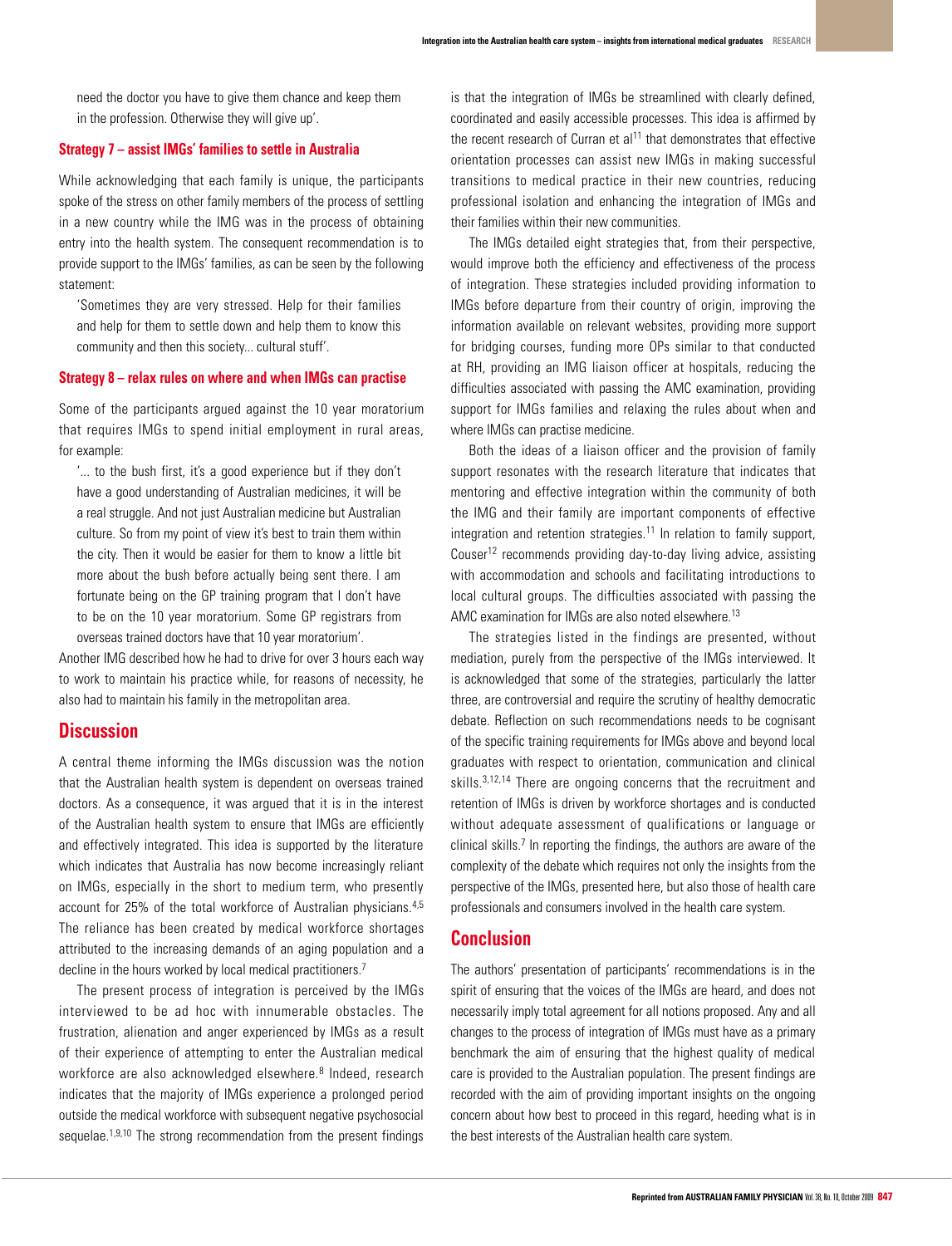need the doctor you have to give them chance and keep them in the profession. Otherwise they will give up'.

## **Strategy 7 – assist IMGs' families to settle in Australia**

While acknowledging that each family is unique, the participants spoke of the stress on other family members of the process of settling in a new country while the IMG was in the process of obtaining entry into the health system. The consequent recommendation is to provide support to the IMGs' families, as can be seen by the following statement:

'Sometimes they are very stressed. Help for their families and help for them to settle down and help them to know this community and then this society... cultural stuff'.

#### **Strategy 8 – relax rules on where and when IMGs can practise**

Some of the participants argued against the 10 year moratorium that requires IMGs to spend initial employment in rural areas, for example:

'... to the bush first, it's a good experience but if they don't have a good understanding of Australian medicines, it will be a real struggle. And not just Australian medicine but Australian culture. So from my point of view it's best to train them within the city. Then it would be easier for them to know a little bit more about the bush before actually being sent there. I am fortunate being on the GP training program that I don't have to be on the 10 year moratorium. Some GP registrars from overseas trained doctors have that 10 year moratorium'.

Another IMG described how he had to drive for over 3 hours each way to work to maintain his practice while, for reasons of necessity, he also had to maintain his family in the metropolitan area.

# **Discussion**

A central theme informing the IMGs discussion was the notion that the Australian health system is dependent on overseas trained doctors. As a consequence, it was argued that it is in the interest of the Australian health system to ensure that IMGs are efficiently and effectively integrated. This idea is supported by the literature which indicates that Australia has now become increasingly reliant on IMGs, especially in the short to medium term, who presently account for 25% of the total workforce of Australian physicians.4,5 The reliance has been created by medical workforce shortages attributed to the increasing demands of an aging population and a decline in the hours worked by local medical practitioners.<sup>7</sup>

The present process of integration is perceived by the IMGs interviewed to be ad hoc with innumerable obstacles. The frustration, alienation and anger experienced by IMGs as a result of their experience of attempting to enter the Australian medical workforce are also acknowledged elsewhere.<sup>8</sup> Indeed, research indicates that the majority of IMGs experience a prolonged period outside the medical workforce with subsequent negative psychosocial sequelae.<sup>1,9,10</sup> The strong recommendation from the present findings is that the integration of IMGs be streamlined with clearly defined, coordinated and easily accessible processes. This idea is affirmed by the recent research of Curran et  $al<sup>11</sup>$  that demonstrates that effective orientation processes can assist new IMGs in making successful transitions to medical practice in their new countries, reducing professional isolation and enhancing the integration of IMGs and their families within their new communities.

The IMGs detailed eight strategies that, from their perspective, would improve both the efficiency and effectiveness of the process of integration. These strategies included providing information to IMGs before departure from their country of origin, improving the information available on relevant websites, providing more support for bridging courses, funding more OPs similar to that conducted at RH, providing an IMG liaison officer at hospitals, reducing the difficulties associated with passing the AMC examination, providing support for IMGs families and relaxing the rules about when and where IMGs can practise medicine.

Both the ideas of a liaison officer and the provision of family support resonates with the research literature that indicates that mentoring and effective integration within the community of both the IMG and their family are important components of effective integration and retention strategies.<sup>11</sup> In relation to family support, Couser<sup>12</sup> recommends providing day-to-day living advice, assisting with accommodation and schools and facilitating introductions to local cultural groups. The difficulties associated with passing the AMC examination for IMGs are also noted elsewhere.<sup>13</sup>

The strategies listed in the findings are presented, without mediation, purely from the perspective of the IMGs interviewed. It is acknowledged that some of the strategies, particularly the latter three, are controversial and require the scrutiny of healthy democratic debate. Reflection on such recommendations needs to be cognisant of the specific training requirements for IMGs above and beyond local graduates with respect to orientation, communication and clinical skills.<sup>3,12,14</sup> There are ongoing concerns that the recruitment and retention of IMGs is driven by workforce shortages and is conducted without adequate assessment of qualifications or language or clinical skills.<sup>7</sup> In reporting the findings, the authors are aware of the complexity of the debate which requires not only the insights from the perspective of the IMGs, presented here, but also those of health care professionals and consumers involved in the health care system.

# **Conclusion**

The authors' presentation of participants' recommendations is in the spirit of ensuring that the voices of the IMGs are heard, and does not necessarily imply total agreement for all notions proposed. Any and all changes to the process of integration of IMGs must have as a primary benchmark the aim of ensuring that the highest quality of medical care is provided to the Australian population. The present findings are recorded with the aim of providing important insights on the ongoing concern about how best to proceed in this regard, heeding what is in the best interests of the Australian health care system.